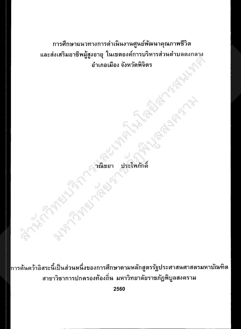การศึกษาแนวทางการดำเนินงานศูนย์พัฒนาคุณภาพชีวิต และส่งเสริมอาชีพผู้สูงอายุ ในเขตองค์การบริหารส่วนตำบลดงกลาง อำเภอเมือง จังหวัดพิจิตร

Formal Property of the Main Medicine

**Property Parties** 

ารค้นคว้าอิสระนี้เป็นส่วนหนึ่งของการศึกษาตามหลักสูตรรัฐประศาสนศาสตรมหาบัณฑิต สาขาวิชาการปกครองท้องถิ่น มหาวิทยาลัยราชภัฏพิบูลสงคราม

2560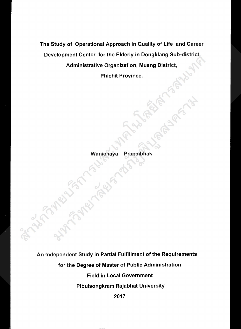The Study of Operational Approach in Quality of Life and Career Development Center for the Elderly in Dongklang Sub-district Administrative Organization, Muang District,

Phichit Province.

**Algeby** 

## Wanichaya Prapaibhak

An Independent Study in Partial Fulfillment of the Requirements for the Degree of Master of Public Administration Field in Local Government Pibulsongkram Rajabhat University

2017